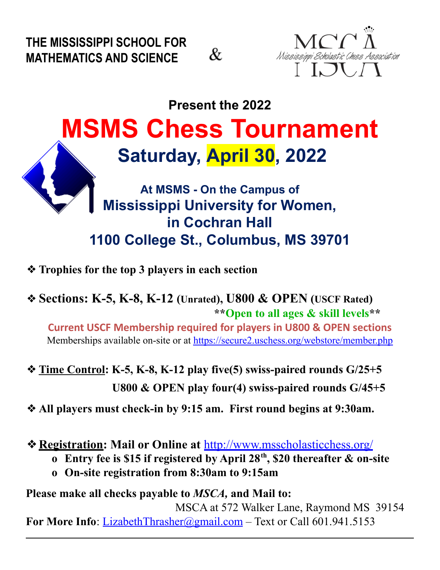**THE MISSISSIPPI SCHOOL FOR MATHEMATICS AND SCIENCE**





## **Present the 2022 MSMS Chess Tournament Saturday, April 30, 2022**

## **At MSMS - On the Campus of Mississippi University for Women, in Cochran Hall 1100 College St., Columbus, MS 39701**

- ❖**Trophies for the top 3 players in each section**
- ❖**Sections: K-5, K-8, K-12 (Unrated), U800 & OPEN (USCF Rated) \*\*Open to all ages & skill levels\*\***

**Current USCF Membership required for players in U800 & OPEN sections** Memberships available on-site or at <https://secure2.uschess.org/webstore/member.php>

- ❖**Time Control: K-5, K-8, K-12 play five(5) swiss-paired rounds G/25+5 U800 & OPEN play four(4) swiss-paired rounds G/45+5**
- ❖**All players must check-in by 9:15 am. First round begins at 9:30am.**
- ❖**Registration: Mail or Online at** <http://www.msscholasticchess.org/>
	- **o Entry fee is \$15 if registered by April 28 th , \$20 thereafter & on-site**
	- **o On-site registration from 8:30am to 9:15am**

## **Please make all checks payable to** *MSCA,* **and Mail to:**

MSCA at 572 Walker Lane, Raymond MS 39154 **For More Info**: [LizabethThrasher@gmail.com](mailto:jeffbolhuis@MSscholasticChess.org) – Text or Call 601.941.5153